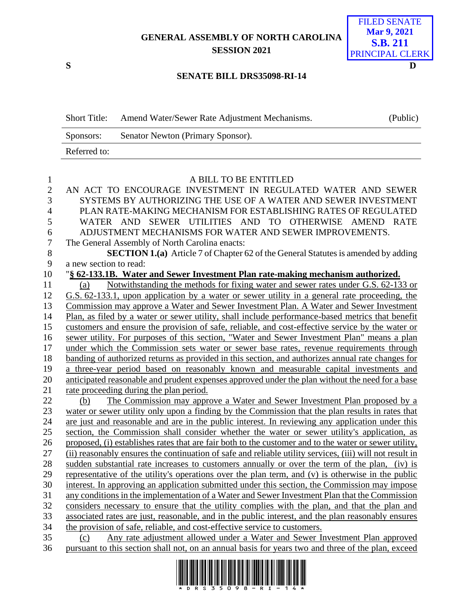## **GENERAL ASSEMBLY OF NORTH CAROLINA SESSION 2021**

**S D**

## FILED SENATE **Mar 9, 2021 S.B. 211** PRINCIPAL CLERK

## **SENATE BILL DRS35098-RI-14**

| <b>Short Title:</b> | Amend Water/Sewer Rate Adjustment Mechanisms. | (Public) |
|---------------------|-----------------------------------------------|----------|
| Sponsors:           | Senator Newton (Primary Sponsor).             |          |
| Referred to:        |                                               |          |

| $\mathbf{1}$   | A BILL TO BE ENTITLED                                                                                    |
|----------------|----------------------------------------------------------------------------------------------------------|
| $\sqrt{2}$     | AN ACT TO ENCOURAGE INVESTMENT IN REGULATED WATER AND SEWER                                              |
| 3              | SYSTEMS BY AUTHORIZING THE USE OF A WATER AND SEWER INVESTMENT                                           |
| $\overline{4}$ | PLAN RATE-MAKING MECHANISM FOR ESTABLISHING RATES OF REGULATED                                           |
| 5              | WATER AND SEWER UTILITIES AND TO OTHERWISE AMEND RATE                                                    |
| 6              | ADJUSTMENT MECHANISMS FOR WATER AND SEWER IMPROVEMENTS.                                                  |
| $\overline{7}$ | The General Assembly of North Carolina enacts:                                                           |
| 8              | <b>SECTION 1.(a)</b> Article 7 of Chapter 62 of the General Statutes is amended by adding                |
| 9              | a new section to read:                                                                                   |
| 10             | "§ 62-133.1B. Water and Sewer Investment Plan rate-making mechanism authorized.                          |
| 11             | Notwithstanding the methods for fixing water and sewer rates under G.S. 62-133 or<br>(a)                 |
| 12             | G.S. 62-133.1, upon application by a water or sewer utility in a general rate proceeding, the            |
| 13             | Commission may approve a Water and Sewer Investment Plan. A Water and Sewer Investment                   |
| 14             | Plan, as filed by a water or sewer utility, shall include performance-based metrics that benefit         |
| 15             | customers and ensure the provision of safe, reliable, and cost-effective service by the water or         |
| 16             | sewer utility. For purposes of this section, "Water and Sewer Investment Plan" means a plan              |
| 17             | under which the Commission sets water or sewer base rates, revenue requirements through                  |
| 18             | banding of authorized returns as provided in this section, and authorizes annual rate changes for        |
| 19             | a three-year period based on reasonably known and measurable capital investments and                     |
| 20             | anticipated reasonable and prudent expenses approved under the plan without the need for a base          |
| 21             | rate proceeding during the plan period.                                                                  |
| 22             | The Commission may approve a Water and Sewer Investment Plan proposed by a<br>(b)                        |
| 23             | water or sewer utility only upon a finding by the Commission that the plan results in rates that         |
| 24             | are just and reasonable and are in the public interest. In reviewing any application under this          |
| 25             | section, the Commission shall consider whether the water or sewer utility's application, as              |
| 26             | proposed, (i) establishes rates that are fair both to the customer and to the water or sewer utility,    |
| 27             | (ii) reasonably ensures the continuation of safe and reliable utility services, (iii) will not result in |
| 28             | sudden substantial rate increases to customers annually or over the term of the plan, (iv) is            |
| 29             | representative of the utility's operations over the plan term, and (v) is otherwise in the public        |
| 30             | interest. In approving an application submitted under this section, the Commission may impose            |
| 31             | any conditions in the implementation of a Water and Sewer Investment Plan that the Commission            |
| 32             | considers necessary to ensure that the utility complies with the plan, and that the plan and             |
| 33             | associated rates are just, reasonable, and in the public interest, and the plan reasonably ensures       |
| 34             | the provision of safe, reliable, and cost-effective service to customers.                                |
| 35             | Any rate adjustment allowed under a Water and Sewer Investment Plan approved<br>(c)                      |
| 36             | pursuant to this section shall not, on an annual basis for years two and three of the plan, exceed       |

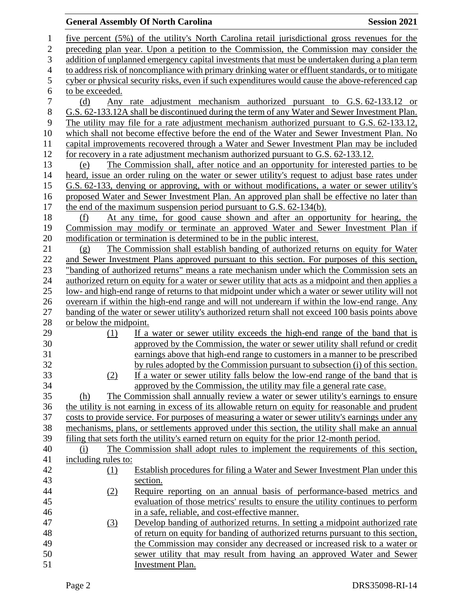## **General Assembly Of North Carolina Session 2021**

 five percent (5%) of the utility's North Carolina retail jurisdictional gross revenues for the preceding plan year. Upon a petition to the Commission, the Commission may consider the addition of unplanned emergency capital investments that must be undertaken during a plan term to address risk of noncompliance with primary drinking water or effluent standards, or to mitigate cyber or physical security risks, even if such expenditures would cause the above-referenced cap to be exceeded. (d) Any rate adjustment mechanism authorized pursuant to G.S. 62-133.12 or G.S. 62-133.12A shall be discontinued during the term of any Water and Sewer Investment Plan. The utility may file for a rate adjustment mechanism authorized pursuant to G.S. 62-133.12, which shall not become effective before the end of the Water and Sewer Investment Plan. No capital improvements recovered through a Water and Sewer Investment Plan may be included for recovery in a rate adjustment mechanism authorized pursuant to G.S. 62-133.12. (e) The Commission shall, after notice and an opportunity for interested parties to be heard, issue an order ruling on the water or sewer utility's request to adjust base rates under G.S. 62-133, denying or approving, with or without modifications, a water or sewer utility's proposed Water and Sewer Investment Plan. An approved plan shall be effective no later than the end of the maximum suspension period pursuant to G.S. 62-134(b). (f) At any time, for good cause shown and after an opportunity for hearing, the Commission may modify or terminate an approved Water and Sewer Investment Plan if modification or termination is determined to be in the public interest. (g) The Commission shall establish banding of authorized returns on equity for Water and Sewer Investment Plans approved pursuant to this section. For purposes of this section, "banding of authorized returns" means a rate mechanism under which the Commission sets an authorized return on equity for a water or sewer utility that acts as a midpoint and then applies a low- and high-end range of returns to that midpoint under which a water or sewer utility will not overearn if within the high-end range and will not underearn if within the low-end range. Any banding of the water or sewer utility's authorized return shall not exceed 100 basis points above or below the midpoint. (1) If a water or sewer utility exceeds the high-end range of the band that is approved by the Commission, the water or sewer utility shall refund or credit earnings above that high-end range to customers in a manner to be prescribed by rules adopted by the Commission pursuant to subsection (i) of this section. (2) If a water or sewer utility falls below the low-end range of the band that is approved by the Commission, the utility may file a general rate case. (h) The Commission shall annually review a water or sewer utility's earnings to ensure the utility is not earning in excess of its allowable return on equity for reasonable and prudent costs to provide service. For purposes of measuring a water or sewer utility's earnings under any mechanisms, plans, or settlements approved under this section, the utility shall make an annual filing that sets forth the utility's earned return on equity for the prior 12-month period. (i) The Commission shall adopt rules to implement the requirements of this section, 41 including rules to: (1) Establish procedures for filing a Water and Sewer Investment Plan under this section. (2) Require reporting on an annual basis of performance-based metrics and evaluation of those metrics' results to ensure the utility continues to perform in a safe, reliable, and cost-effective manner. (3) Develop banding of authorized returns. In setting a midpoint authorized rate of return on equity for banding of authorized returns pursuant to this section, the Commission may consider any decreased or increased risk to a water or sewer utility that may result from having an approved Water and Sewer Investment Plan.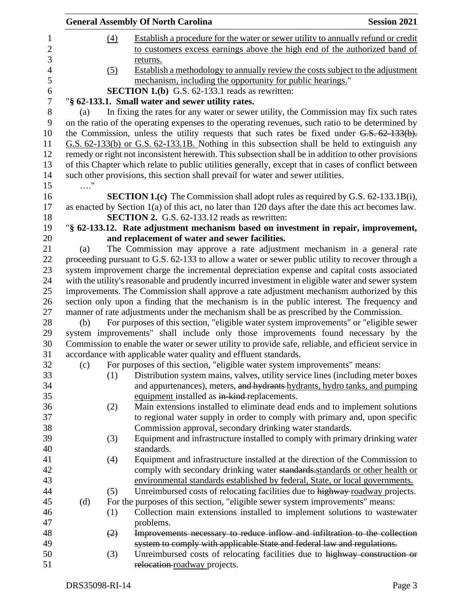|     |                   | <b>General Assembly Of North Carolina</b>                                                             | <b>Session 2021</b> |
|-----|-------------------|-------------------------------------------------------------------------------------------------------|---------------------|
|     | $\underline{(4)}$ | Establish a procedure for the water or sewer utility to annually refund or credit                     |                     |
|     |                   | to customers excess earnings above the high end of the authorized band of                             |                     |
|     |                   | returns.                                                                                              |                     |
|     | (5)               | Establish a methodology to annually review the costs subject to the adjustment                        |                     |
|     |                   | mechanism, including the opportunity for public hearings."                                            |                     |
|     |                   | <b>SECTION 1.(b)</b> G.S. 62-133.1 reads as rewritten:                                                |                     |
|     |                   | "§ 62-133.1. Small water and sewer utility rates.                                                     |                     |
| (a) |                   | In fixing the rates for any water or sewer utility, the Commission may fix such rates                 |                     |
|     |                   | on the ratio of the operating expenses to the operating revenues, such ratio to be determined by      |                     |
|     |                   | the Commission, unless the utility requests that such rates be fixed under G.S. 62-133(b).            |                     |
|     |                   | G.S. 62-133(b) or G.S. 62-133.1B. Nothing in this subsection shall be held to extinguish any          |                     |
|     |                   | remedy or right not inconsistent herewith. This subsection shall be in addition to other provisions   |                     |
|     |                   | of this Chapter which relate to public utilities generally, except that in cases of conflict between  |                     |
|     |                   | such other provisions, this section shall prevail for water and sewer utilities.                      |                     |
| . " |                   |                                                                                                       |                     |
|     |                   | <b>SECTION 1.(c)</b> The Commission shall adopt rules as required by G.S. 62-133.1B(i),               |                     |
|     |                   | as enacted by Section $1(a)$ of this act, no later than 120 days after the date this act becomes law. |                     |
|     |                   | <b>SECTION 2.</b> G.S. 62-133.12 reads as rewritten:                                                  |                     |
|     |                   | "§ 62-133.12. Rate adjustment mechanism based on investment in repair, improvement,                   |                     |
|     |                   | and replacement of water and sewer facilities.                                                        |                     |
| (a) |                   | The Commission may approve a rate adjustment mechanism in a general rate                              |                     |
|     |                   | proceeding pursuant to G.S. 62-133 to allow a water or sewer public utility to recover through a      |                     |
|     |                   | system improvement charge the incremental depreciation expense and capital costs associated           |                     |
|     |                   | with the utility's reasonable and prudently incurred investment in eligible water and sewer system    |                     |
|     |                   | improvements. The Commission shall approve a rate adjustment mechanism authorized by this             |                     |
|     |                   | section only upon a finding that the mechanism is in the public interest. The frequency and           |                     |
|     |                   | manner of rate adjustments under the mechanism shall be as prescribed by the Commission.              |                     |
| (b) |                   | For purposes of this section, "eligible water system improvements" or "eligible sewer"                |                     |
|     |                   | system improvements" shall include only those improvements found necessary by the                     |                     |
|     |                   | Commission to enable the water or sewer utility to provide safe, reliable, and efficient service in   |                     |
|     |                   | accordance with applicable water quality and effluent standards.                                      |                     |
| (c) |                   | For purposes of this section, "eligible water system improvements" means:                             |                     |
|     | (1)               | Distribution system mains, valves, utility service lines (including meter boxes                       |                     |
|     |                   | and appurtenances), meters, and hydrants-hydrants, hydro tanks, and pumping                           |                     |
|     |                   | equipment installed as in kind-replacements.                                                          |                     |
|     | (2)               | Main extensions installed to eliminate dead ends and to implement solutions                           |                     |
|     |                   | to regional water supply in order to comply with primary and, upon specific                           |                     |
|     |                   | Commission approval, secondary drinking water standards.                                              |                     |
|     | (3)               | Equipment and infrastructure installed to comply with primary drinking water                          |                     |
|     |                   | standards.                                                                                            |                     |
|     | (4)               | Equipment and infrastructure installed at the direction of the Commission to                          |                     |
|     |                   | comply with secondary drinking water standards standards or other health or                           |                     |
|     |                   | environmental standards established by federal, State, or local governments.                          |                     |
|     | (5)               | Unreimbursed costs of relocating facilities due to highway roadway projects.                          |                     |
| (d) |                   | For the purposes of this section, "eligible sewer system improvements" means:                         |                     |
|     | (1)               | Collection main extensions installed to implement solutions to wastewater                             |                     |
|     |                   | problems.                                                                                             |                     |
|     | (2)               | Improvements necessary to reduce inflow and infiltration to the collection                            |                     |
|     |                   | system to comply with applicable State and federal law and regulations.                               |                     |
|     | (3)               | Unreimbursed costs of relocating facilities due to highway construction or                            |                     |
|     |                   | relocation-roadway projects.                                                                          |                     |